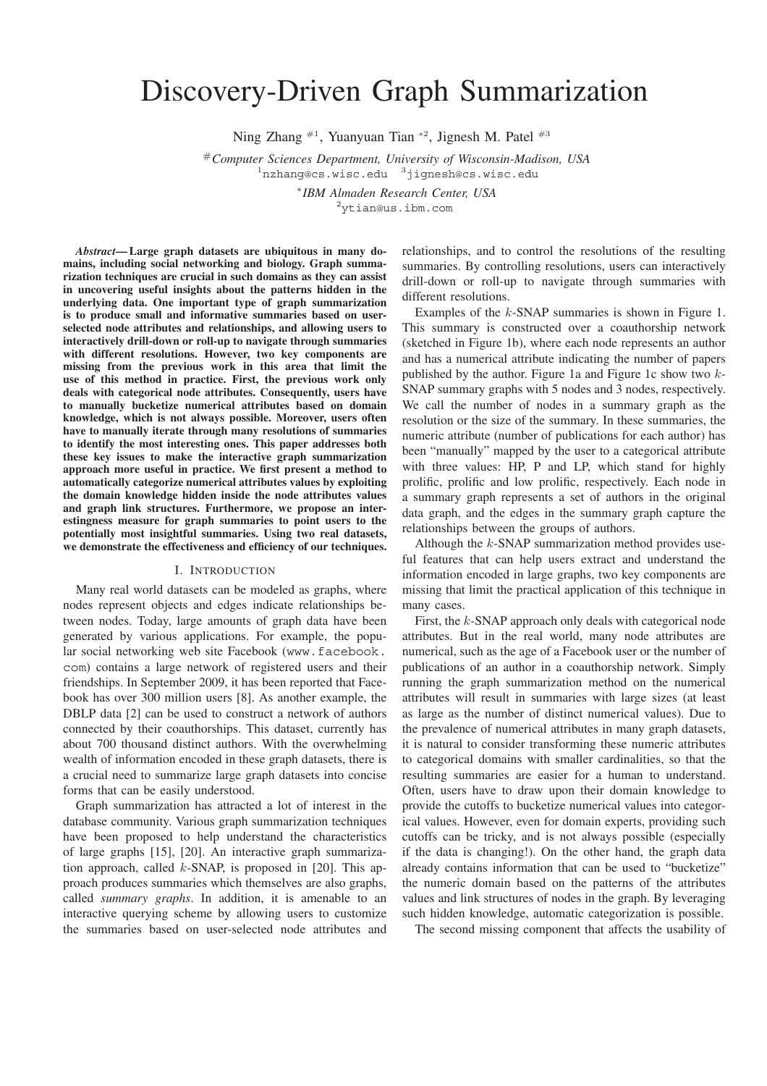# Discovery-Driven Graph Summarization

Ning Zhang  $#^1$ , Yuanyuan Tian <sup>\*2</sup>, Jignesh M. Patel  $#^3$ 

#*Computer Sciences Department, University of Wisconsin-Madison, USA*  $^1$ nzhang@cs.wisc.edu  $^3$ jignesh@cs.wisc.edu

> ∗*IBM Almaden Research Center, USA*  $^{2}$ ytian@us.ibm.com

*Abstract***— Large graph datasets are ubiquitous in many domains, including social networking and biology. Graph summarization techniques are crucial in such domains as they can assist in uncovering useful insights about the patterns hidden in the underlying data. One important type of graph summarization is to produce small and informative summaries based on userselected node attributes and relationships, and allowing users to interactively drill-down or roll-up to navigate through summaries with different resolutions. However, two key components are missing from the previous work in this area that limit the use of this method in practice. First, the previous work only deals with categorical node attributes. Consequently, users have to manually bucketize numerical attributes based on domain knowledge, which is not always possible. Moreover, users often have to manually iterate through many resolutions of summaries to identify the most interesting ones. This paper addresses both these key issues to make the interactive graph summarization approach more useful in practice. We first present a method to automatically categorize numerical attributes values by exploiting the domain knowledge hidden inside the node attributes values and graph link structures. Furthermore, we propose an interestingness measure for graph summaries to point users to the potentially most insightful summaries. Using two real datasets, we demonstrate the effectiveness and efficiency of our techniques.**

### I. INTRODUCTION

Many real world datasets can be modeled as graphs, where nodes represent objects and edges indicate relationships between nodes. Today, large amounts of graph data have been generated by various applications. For example, the popular social networking web site Facebook (www.facebook. com) contains a large network of registered users and their friendships. In September 2009, it has been reported that Facebook has over 300 million users [8]. As another example, the DBLP data [2] can be used to construct a network of authors connected by their coauthorships. This dataset, currently has about 700 thousand distinct authors. With the overwhelming wealth of information encoded in these graph datasets, there is a crucial need to summarize large graph datasets into concise forms that can be easily understood.

Graph summarization has attracted a lot of interest in the database community. Various graph summarization techniques have been proposed to help understand the characteristics of large graphs [15], [20]. An interactive graph summarization approach, called  $k$ -SNAP, is proposed in [20]. This approach produces summaries which themselves are also graphs, called *summary graphs*. In addition, it is amenable to an interactive querying scheme by allowing users to customize the summaries based on user-selected node attributes and

relationships, and to control the resolutions of the resulting summaries. By controlling resolutions, users can interactively drill-down or roll-up to navigate through summaries with different resolutions.

Examples of the k-SNAP summaries is shown in Figure 1. This summary is constructed over a coauthorship network (sketched in Figure 1b), where each node represents an author and has a numerical attribute indicating the number of papers published by the author. Figure 1a and Figure 1c show two k-SNAP summary graphs with 5 nodes and 3 nodes, respectively. We call the number of nodes in a summary graph as the resolution or the size of the summary. In these summaries, the numeric attribute (number of publications for each author) has been "manually" mapped by the user to a categorical attribute with three values: HP, P and LP, which stand for highly prolific, prolific and low prolific, respectively. Each node in a summary graph represents a set of authors in the original data graph, and the edges in the summary graph capture the relationships between the groups of authors.

Although the k-SNAP summarization method provides useful features that can help users extract and understand the information encoded in large graphs, two key components are missing that limit the practical application of this technique in many cases.

First, the k-SNAP approach only deals with categorical node attributes. But in the real world, many node attributes are numerical, such as the age of a Facebook user or the number of publications of an author in a coauthorship network. Simply running the graph summarization method on the numerical attributes will result in summaries with large sizes (at least as large as the number of distinct numerical values). Due to the prevalence of numerical attributes in many graph datasets, it is natural to consider transforming these numeric attributes to categorical domains with smaller cardinalities, so that the resulting summaries are easier for a human to understand. Often, users have to draw upon their domain knowledge to provide the cutoffs to bucketize numerical values into categorical values. However, even for domain experts, providing such cutoffs can be tricky, and is not always possible (especially if the data is changing!). On the other hand, the graph data already contains information that can be used to "bucketize" the numeric domain based on the patterns of the attributes values and link structures of nodes in the graph. By leveraging such hidden knowledge, automatic categorization is possible.

The second missing component that affects the usability of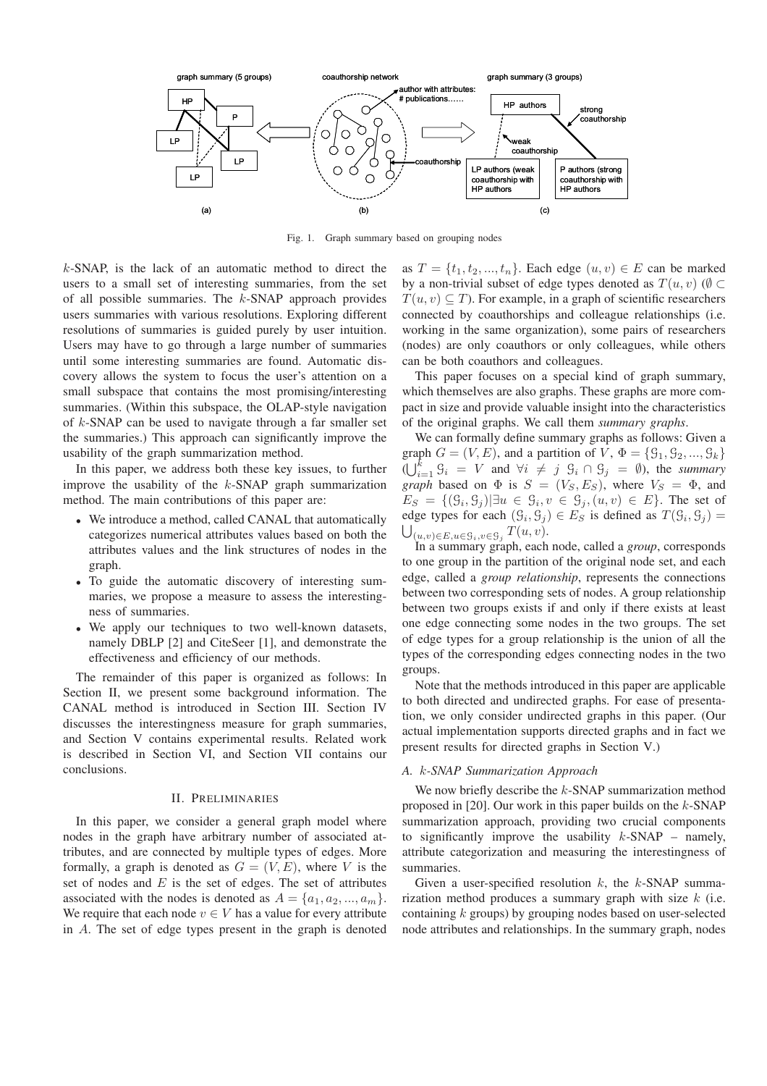

Fig. 1. Graph summary based on grouping nodes

 $k$ -SNAP, is the lack of an automatic method to direct the users to a small set of interesting summaries, from the set of all possible summaries. The  $k$ -SNAP approach provides users summaries with various resolutions. Exploring different resolutions of summaries is guided purely by user intuition. Users may have to go through a large number of summaries until some interesting summaries are found. Automatic discovery allows the system to focus the user's attention on a small subspace that contains the most promising/interesting summaries. (Within this subspace, the OLAP-style navigation of  $k$ -SNAP can be used to navigate through a far smaller set the summaries.) This approach can significantly improve the usability of the graph summarization method.

In this paper, we address both these key issues, to further improve the usability of the k-SNAP graph summarization method. The main contributions of this paper are:

- We introduce a method, called CANAL that automatically categorizes numerical attributes values based on both the attributes values and the link structures of nodes in the graph.
- To guide the automatic discovery of interesting summaries, we propose a measure to assess the interestingness of summaries.
- We apply our techniques to two well-known datasets, namely DBLP [2] and CiteSeer [1], and demonstrate the effectiveness and efficiency of our methods.

The remainder of this paper is organized as follows: In Section II, we present some background information. The CANAL method is introduced in Section III. Section IV discusses the interestingness measure for graph summaries, and Section V contains experimental results. Related work is described in Section VI, and Section VII contains our conclusions.

# II. PRELIMINARIES

In this paper, we consider a general graph model where nodes in the graph have arbitrary number of associated attributes, and are connected by multiple types of edges. More formally, a graph is denoted as  $G = (V, E)$ , where V is the set of nodes and  $E$  is the set of edges. The set of attributes associated with the nodes is denoted as  $A = \{a_1, a_2, ..., a_m\}.$ We require that each node  $v \in V$  has a value for every attribute in A. The set of edge types present in the graph is denoted

as  $T = \{t_1, t_2, ..., t_n\}$ . Each edge  $(u, v) \in E$  can be marked by a non-trivial subset of edge types denoted as  $T(u, v)$  ( $\emptyset \subset$  $T(u, v) \subseteq T$ ). For example, in a graph of scientific researchers connected by coauthorships and colleague relationships (i.e. working in the same organization), some pairs of researchers (nodes) are only coauthors or only colleagues, while others can be both coauthors and colleagues.

This paper focuses on a special kind of graph summary, which themselves are also graphs. These graphs are more compact in size and provide valuable insight into the characteristics of the original graphs. We call them *summary graphs*.

We can formally define summary graphs as follows: Given a graph  $G = (V, E)$ , and a partition of  $V, \Phi = \{9_1, 9_2, ..., 9_k\}$  $\bigcup_{i=1}^{k} G_i = V$  and  $\forall i \neq j$   $G_i \cap G_j = \emptyset$ ), the *summary*<br>*graph* based on  $\Phi$  is  $S = (V_G, E_G)$  where  $V_G = \Phi$  and *graph* based on  $\Phi$  is  $S = (V_S, E_S)$ , where  $V_S = \Phi$ , and  $E_S = \{(\mathcal{G}_i, \mathcal{G}_j) | \exists u \in \mathcal{G}_i, v \in \mathcal{G}_j, (u, v) \in E\}.$  The set of edge types for each  $(\mathcal{G}_i, \mathcal{G}_j) \in E_S$  is defined as  $T(\mathcal{G}_i, \mathcal{G}_j) =$  $\bigcup_{\substack{(u,v)\in E, u\in \mathcal{G}_i, v\in \mathcal{G}_j}} T(u,v).$ 

In a summary graph, each node, called a *group*, corresponds to one group in the partition of the original node set, and each edge, called a *group relationship*, represents the connections between two corresponding sets of nodes. A group relationship between two groups exists if and only if there exists at least one edge connecting some nodes in the two groups. The set of edge types for a group relationship is the union of all the types of the corresponding edges connecting nodes in the two groups.

Note that the methods introduced in this paper are applicable to both directed and undirected graphs. For ease of presentation, we only consider undirected graphs in this paper. (Our actual implementation supports directed graphs and in fact we present results for directed graphs in Section V.)

# *A.* k*-SNAP Summarization Approach*

We now briefly describe the k-SNAP summarization method proposed in [20]. Our work in this paper builds on the  $k$ -SNAP summarization approach, providing two crucial components to significantly improve the usability  $k$ -SNAP – namely, attribute categorization and measuring the interestingness of summaries.

Given a user-specified resolution  $k$ , the  $k$ -SNAP summarization method produces a summary graph with size  $k$  (i.e. containing  $k$  groups) by grouping nodes based on user-selected node attributes and relationships. In the summary graph, nodes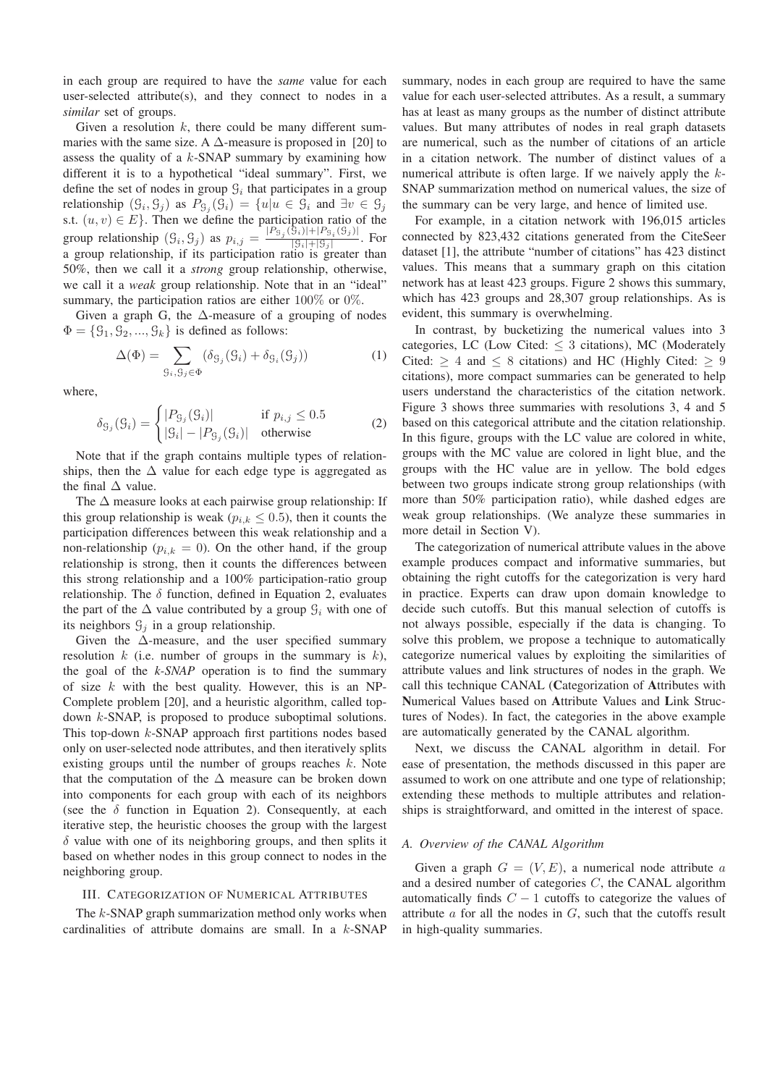in each group are required to have the *same* value for each user-selected attribute(s), and they connect to nodes in a *similar* set of groups.

Given a resolution  $k$ , there could be many different summaries with the same size. A  $\Delta$ -measure is proposed in [20] to assess the quality of a  $k$ -SNAP summary by examining how different it is to a hypothetical "ideal summary". First, we define the set of nodes in group  $\mathcal{G}_i$  that participates in a group relationship  $(\mathcal{G}_i, \mathcal{G}_j)$  as  $P_{\mathcal{G}_j}(\mathcal{G}_i) = \{u | u \in \mathcal{G}_i \text{ and } \exists v \in \mathcal{G}_j \text{ s.t. } (u, v) \in E\}$ . Then we define the participation ratio of the s.t.  $(u, v) \in E$ . Then we define the participation ratio of the group relationship  $(\mathcal{G}_i, \mathcal{G}_j)$  as  $p_{i,j} = \frac{|P_{\mathcal{G}_j}(\mathcal{G}_i)| + |P_{\mathcal{G}_i}(\mathcal{G}_j)|}{|\mathcal{G}_i| + |\mathcal{G}_j|}$ . For a group relationship, if its participation ratio is greater than 50%, then we call it a *strong* group relationship, otherwise, we call it a *weak* group relationship. Note that in an "ideal" summary, the participation ratios are either 100% or 0%.

Given a graph G, the  $\Delta$ -measure of a grouping of nodes  $\Phi = \{ \mathcal{G}_1, \mathcal{G}_2, ..., \mathcal{G}_k \}$  is defined as follows:

$$
\Delta(\Phi) = \sum_{\mathcal{G}_i, \mathcal{G}_j \in \Phi} (\delta_{\mathcal{G}_j}(\mathcal{G}_i) + \delta_{\mathcal{G}_i}(\mathcal{G}_j))
$$
(1)

where,

$$
\delta_{\mathcal{G}_j}(\mathcal{G}_i) = \begin{cases}\n|P_{\mathcal{G}_j}(\mathcal{G}_i)| & \text{if } p_{i,j} \leq 0.5 \\
|\mathcal{G}_i| - |P_{\mathcal{G}_j}(\mathcal{G}_i)| & \text{otherwise}\n\end{cases}
$$
\n(2)

Note that if the graph contains multiple types of relationships, then the  $\Delta$  value for each edge type is aggregated as the final  $\Delta$  value.

The  $\Delta$  measure looks at each pairwise group relationship: If this group relationship is weak ( $p_{i,k} \leq 0.5$ ), then it counts the participation differences between this weak relationship and a non-relationship ( $p_{i,k} = 0$ ). On the other hand, if the group relationship is strong, then it counts the differences between this strong relationship and a 100% participation-ratio group relationship. The  $\delta$  function, defined in Equation 2, evaluates the part of the  $\Delta$  value contributed by a group  $\mathcal{G}_i$  with one of its neighbors  $\mathcal{G}_i$  in a group relationship.

Given the  $\Delta$ -measure, and the user specified summary resolution  $k$  (i.e. number of groups in the summary is  $k$ ), the goal of the *k-SNAP* operation is to find the summary of size  $k$  with the best quality. However, this is an NP-Complete problem [20], and a heuristic algorithm, called topdown k-SNAP, is proposed to produce suboptimal solutions. This top-down k-SNAP approach first partitions nodes based only on user-selected node attributes, and then iteratively splits existing groups until the number of groups reaches  $k$ . Note that the computation of the  $\Delta$  measure can be broken down into components for each group with each of its neighbors (see the  $\delta$  function in Equation 2). Consequently, at each iterative step, the heuristic chooses the group with the largest  $\delta$  value with one of its neighboring groups, and then splits it based on whether nodes in this group connect to nodes in the neighboring group.

### III. CATEGORIZATION OF NUMERICAL ATTRIBUTES

The k-SNAP graph summarization method only works when cardinalities of attribute domains are small. In a k-SNAP

summary, nodes in each group are required to have the same value for each user-selected attributes. As a result, a summary has at least as many groups as the number of distinct attribute values. But many attributes of nodes in real graph datasets are numerical, such as the number of citations of an article in a citation network. The number of distinct values of a numerical attribute is often large. If we naively apply the k-SNAP summarization method on numerical values, the size of the summary can be very large, and hence of limited use.

For example, in a citation network with 196,015 articles connected by 823,432 citations generated from the CiteSeer dataset [1], the attribute "number of citations" has 423 distinct values. This means that a summary graph on this citation network has at least 423 groups. Figure 2 shows this summary, which has 423 groups and 28,307 group relationships. As is evident, this summary is overwhelming.

In contrast, by bucketizing the numerical values into 3 categories, LC (Low Cited:  $\leq$  3 citations), MC (Moderately Cited:  $> 4$  and  $< 8$  citations) and HC (Highly Cited:  $> 9$ citations), more compact summaries can be generated to help users understand the characteristics of the citation network. Figure 3 shows three summaries with resolutions 3, 4 and 5 based on this categorical attribute and the citation relationship. In this figure, groups with the LC value are colored in white, groups with the MC value are colored in light blue, and the groups with the HC value are in yellow. The bold edges between two groups indicate strong group relationships (with more than 50% participation ratio), while dashed edges are weak group relationships. (We analyze these summaries in more detail in Section V).

The categorization of numerical attribute values in the above example produces compact and informative summaries, but obtaining the right cutoffs for the categorization is very hard in practice. Experts can draw upon domain knowledge to decide such cutoffs. But this manual selection of cutoffs is not always possible, especially if the data is changing. To solve this problem, we propose a technique to automatically categorize numerical values by exploiting the similarities of attribute values and link structures of nodes in the graph. We call this technique CANAL (**C**ategorization of **A**ttributes with **N**umerical Values based on **A**ttribute Values and **L**ink Structures of Nodes). In fact, the categories in the above example are automatically generated by the CANAL algorithm.

Next, we discuss the CANAL algorithm in detail. For ease of presentation, the methods discussed in this paper are assumed to work on one attribute and one type of relationship; extending these methods to multiple attributes and relationships is straightforward, and omitted in the interest of space.

# *A. Overview of the CANAL Algorithm*

Given a graph  $G = (V, E)$ , a numerical node attribute a and a desired number of categories C, the CANAL algorithm automatically finds  $C - 1$  cutoffs to categorize the values of attribute  $a$  for all the nodes in  $G$ , such that the cutoffs result in high-quality summaries.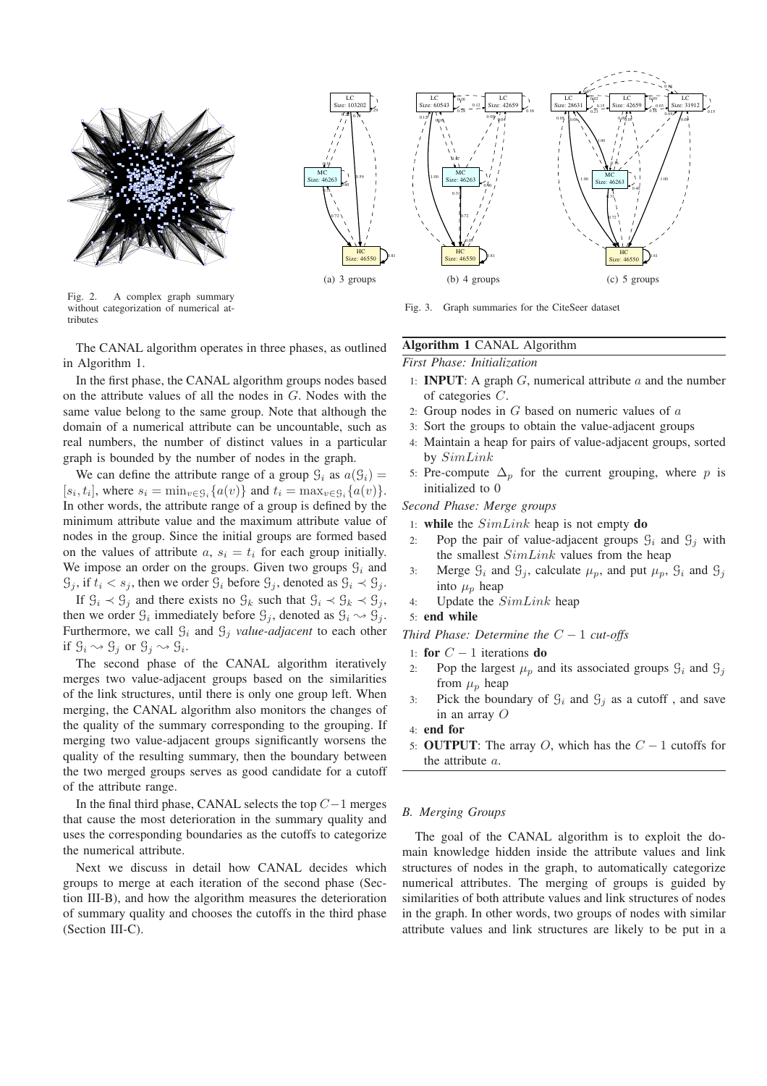

Fig. 2. A complex graph summary without categorization of numerical attributes

The CANAL algorithm operates in three phases, as outlined in Algorithm 1.

In the first phase, the CANAL algorithm groups nodes based on the attribute values of all the nodes in G. Nodes with the same value belong to the same group. Note that although the domain of a numerical attribute can be uncountable, such as real numbers, the number of distinct values in a particular graph is bounded by the number of nodes in the graph.

We can define the attribute range of a group  $\mathcal{G}_i$  as  $a(\mathcal{G}_i)$  =  $[s_i, t_i]$ , where  $s_i = \min_{v \in \mathcal{G}_i} \{a(v)\}\$  and  $t_i = \max_{v \in \mathcal{G}_i} \{a(v)\}\$ . In other words, the attribute range of a group is defined by the minimum attribute value and the maximum attribute value of nodes in the group. Since the initial groups are formed based on the values of attribute  $a, s_i = t_i$  for each group initially. We impose an order on the groups. Given two groups  $\mathcal{G}_i$  and  $\mathcal{G}_j$ , if  $t_i < s_j$ , then we order  $\mathcal{G}_i$  before  $\mathcal{G}_j$ , denoted as  $\mathcal{G}_i \prec \mathcal{G}_j$ .

If  $\mathcal{G}_i \prec \mathcal{G}_j$  and there exists no  $\mathcal{G}_k$  such that  $\mathcal{G}_i \prec \mathcal{G}_k \prec \mathcal{G}_j$ , then we order  $\mathcal{G}_i$  immediately before  $\mathcal{G}_i$ , denoted as  $\mathcal{G}_i \sim \mathcal{G}_j$ . Furthermore, we call  $\mathcal{G}_i$  and  $\mathcal{G}_j$  *value-adjacent* to each other if  $\mathcal{G}_i \rightsquigarrow \mathcal{G}_j$  or  $\mathcal{G}_j \rightsquigarrow \mathcal{G}_i$ .

The second phase of the CANAL algorithm iteratively merges two value-adjacent groups based on the similarities of the link structures, until there is only one group left. When merging, the CANAL algorithm also monitors the changes of the quality of the summary corresponding to the grouping. If merging two value-adjacent groups significantly worsens the quality of the resulting summary, then the boundary between the two merged groups serves as good candidate for a cutoff of the attribute range.

In the final third phase, CANAL selects the top C−1 merges that cause the most deterioration in the summary quality and uses the corresponding boundaries as the cutoffs to categorize the numerical attribute.

Next we discuss in detail how CANAL decides which groups to merge at each iteration of the second phase (Section III-B), and how the algorithm measures the deterioration of summary quality and chooses the cutoffs in the third phase (Section III-C).

Fig. 3. Graph summaries for the CiteSeer dataset

# **Algorithm 1** CANAL Algorithm

*First Phase: Initialization*

- 1: **INPUT**: A graph  $G$ , numerical attribute  $a$  and the number of categories C.
- 2: Group nodes in  $G$  based on numeric values of  $a$
- 3: Sort the groups to obtain the value-adjacent groups
- 4: Maintain a heap for pairs of value-adjacent groups, sorted by SimLink
- 5: Pre-compute  $\Delta_p$  for the current grouping, where p is initialized to 0

*Second Phase: Merge groups*

- 1: **while** the  $SimLink$  heap is not empty **do**<br>2. Pop the pair of value-adiacent groups  $\frac{6}{5}$
- Pop the pair of value-adjacent groups  $\mathcal{G}_i$  and  $\mathcal{G}_j$  with the smallest  $SimLink$  values from the heap
- 3: Merge  $\mathcal{G}_i$  and  $\mathcal{G}_j$ , calculate  $\mu_p$ , and put  $\mu_p$ ,  $\mathcal{G}_i$  and  $\mathcal{G}_j$ into <sup>μ</sup>*<sup>p</sup>* heap
- 4: Update the SimLink heap
- 5: **end while**

*Third Phase: Determine the* C <sup>−</sup> 1 *cut-offs*

- 1: **for**  $C 1$  iterations **do**<br>2: Pop the largest  $\mu_n$  and
- Pop the largest  $\mu_p$  and its associated groups  $\mathcal{G}_i$  and  $\mathcal{G}_j$ from  $\mu_p$  heap
- 3: Pick the boundary of  $\mathcal{G}_i$  and  $\mathcal{G}_j$  as a cutoff, and save in an array O
- 4: **end for**
- 5: **OUTPUT**: The array *O*, which has the  $C 1$  cutoffs for the attribute a.

### *B. Merging Groups*

The goal of the CANAL algorithm is to exploit the domain knowledge hidden inside the attribute values and link structures of nodes in the graph, to automatically categorize numerical attributes. The merging of groups is guided by similarities of both attribute values and link structures of nodes in the graph. In other words, two groups of nodes with similar attribute values and link structures are likely to be put in a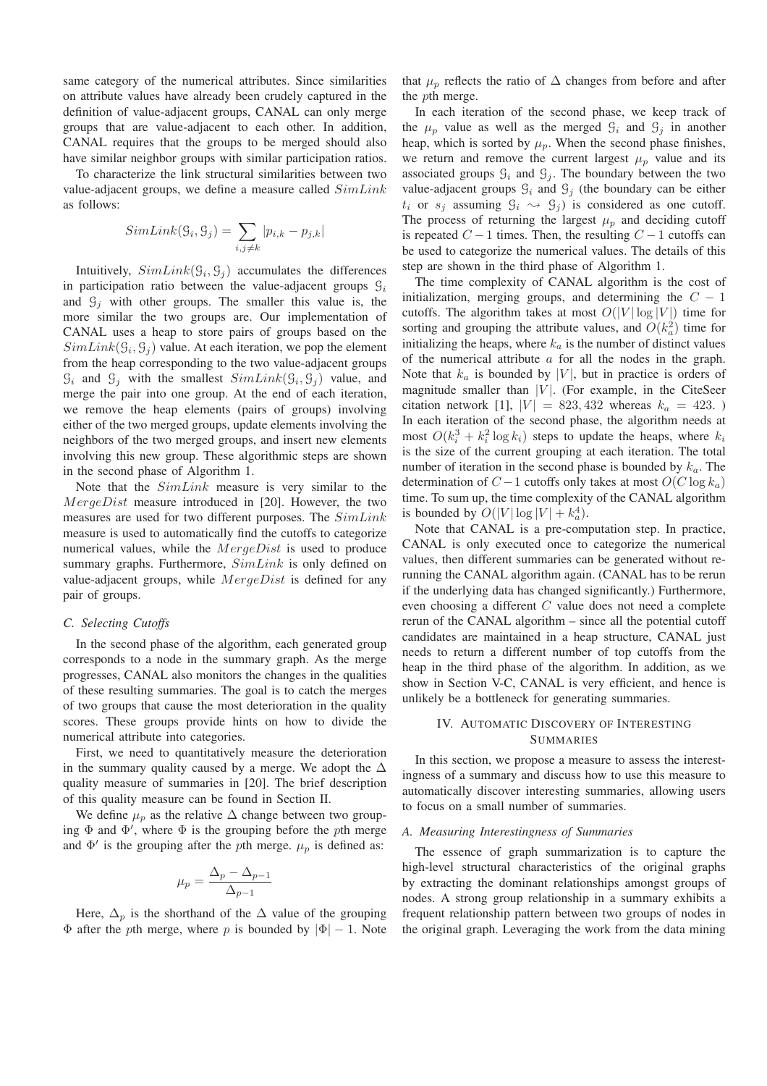same category of the numerical attributes. Since similarities on attribute values have already been crudely captured in the definition of value-adjacent groups, CANAL can only merge groups that are value-adjacent to each other. In addition, CANAL requires that the groups to be merged should also have similar neighbor groups with similar participation ratios.

To characterize the link structural similarities between two value-adjacent groups, we define a measure called  $SimLink$ as follows:

$$
SimLink(\mathcal{G}_i, \mathcal{G}_j) = \sum_{i,j \neq k} |p_{i,k} - p_{j,k}|
$$

Intuitively,  $SimLink(\mathcal{G}_i, \mathcal{G}_j)$  accumulates the differences in participation ratio between the value-adjacent groups  $\mathcal{G}_i$ and  $G_j$  with other groups. The smaller this value is, the more similar the two groups are. Our implementation of CANAL uses a heap to store pairs of groups based on the  $SimLink(\mathcal{G}_i, \mathcal{G}_j)$  value. At each iteration, we pop the element from the heap corresponding to the two value-adjacent groups  $\mathcal{G}_i$  and  $\mathcal{G}_j$  with the smallest  $SimLink(\mathcal{G}_i, \mathcal{G}_j)$  value, and merge the pair into one group. At the end of each iteration, we remove the heap elements (pairs of groups) involving either of the two merged groups, update elements involving the neighbors of the two merged groups, and insert new elements involving this new group. These algorithmic steps are shown in the second phase of Algorithm 1.

Note that the SimLink measure is very similar to the MergeDist measure introduced in [20]. However, the two measures are used for two different purposes. The SimLink measure is used to automatically find the cutoffs to categorize numerical values, while the  $MergeDist$  is used to produce summary graphs. Furthermore,  $SimLink$  is only defined on value-adjacent groups, while  $MergeDist$  is defined for any pair of groups.

# *C. Selecting Cutoffs*

In the second phase of the algorithm, each generated group corresponds to a node in the summary graph. As the merge progresses, CANAL also monitors the changes in the qualities of these resulting summaries. The goal is to catch the merges of two groups that cause the most deterioration in the quality scores. These groups provide hints on how to divide the numerical attribute into categories.

First, we need to quantitatively measure the deterioration in the summary quality caused by a merge. We adopt the  $\Delta$ quality measure of summaries in [20]. The brief description of this quality measure can be found in Section II.

We define  $\mu_p$  as the relative  $\Delta$  change between two grouping  $\Phi$  and  $\Phi'$ , where  $\Phi$  is the grouping before the *p*th merge and  $\Phi'$  is the grouping after the *n*th merge us is defined as: and  $\Phi'$  is the grouping after the pth merge.  $\mu_n$  is defined as:

$$
\mu_p = \frac{\Delta_p - \Delta_{p-1}}{\Delta_{p-1}}
$$

Here,  $\Delta_p$  is the shorthand of the  $\Delta$  value of the grouping  $\Phi$  after the *p*th merge, where *p* is bounded by  $|\Phi| - 1$ . Note that  $\mu_p$  reflects the ratio of  $\Delta$  changes from before and after the pth merge.

In each iteration of the second phase, we keep track of the  $\mu_p$  value as well as the merged  $\mathcal{G}_i$  and  $\mathcal{G}_j$  in another heap, which is sorted by  $\mu_p$ . When the second phase finishes, we return and remove the current largest  $\mu_p$  value and its associated groups  $\mathcal{G}_i$  and  $\mathcal{G}_j$ . The boundary between the two value-adjacent groups  $\mathcal{G}_i$  and  $\mathcal{G}_j$  (the boundary can be either  $t_i$  or  $s_j$  assuming  $\mathcal{G}_i \sim \mathcal{G}_j$  is considered as one cutoff. The process of returning the largest  $\mu$ <sub>*p*</sub> and deciding cutoff is repeated  $C - 1$  times. Then, the resulting  $C - 1$  cutoffs can be used to categorize the numerical values. The details of this step are shown in the third phase of Algorithm 1.

The time complexity of CANAL algorithm is the cost of initialization, merging groups, and determining the  $C - 1$ cutoffs. The algorithm takes at most  $O(|V| \log |V|)$  time for sorting and grouping the attribute values, and  $O(k_a^2)$  time for initializing the heaps where k is the number of distinct values initializing the heaps, where  $k_a$  is the number of distinct values of the numerical attribute  $a$  for all the nodes in the graph. Note that  $k_a$  is bounded by  $|V|$ , but in practice is orders of magnitude smaller than  $|V|$ . (For example, in the CiteSeer citation network [1],  $|V| = 823, 432$  whereas  $k_a = 423$ .) In each iteration of the second phase, the algorithm needs at most  $O(k_i^3 + k_i^2 \log k_i)$  steps to update the heaps, where  $k_i$ <br>is the size of the current grouping at each iteration. The total is the size of the current grouping at each iteration. The total number of iteration in the second phase is bounded by k*<sup>a</sup>*. The determination of  $C - 1$  cutoffs only takes at most  $O(C \log k_a)$ time. To sum up, the time complexity of the CANAL algorithm is bounded by  $O(|V| \log |V| + k_a^4)$ .<br>Note that CANAL is a pre-com-

Note that CANAL is a pre-computation step. In practice, CANAL is only executed once to categorize the numerical values, then different summaries can be generated without rerunning the CANAL algorithm again. (CANAL has to be rerun if the underlying data has changed significantly.) Furthermore, even choosing a different C value does not need a complete rerun of the CANAL algorithm – since all the potential cutoff candidates are maintained in a heap structure, CANAL just needs to return a different number of top cutoffs from the heap in the third phase of the algorithm. In addition, as we show in Section V-C, CANAL is very efficient, and hence is unlikely be a bottleneck for generating summaries.

# IV. AUTOMATIC DISCOVERY OF INTERESTING SUMMARIES

In this section, we propose a measure to assess the interestingness of a summary and discuss how to use this measure to automatically discover interesting summaries, allowing users to focus on a small number of summaries.

#### *A. Measuring Interestingness of Summaries*

The essence of graph summarization is to capture the high-level structural characteristics of the original graphs by extracting the dominant relationships amongst groups of nodes. A strong group relationship in a summary exhibits a frequent relationship pattern between two groups of nodes in the original graph. Leveraging the work from the data mining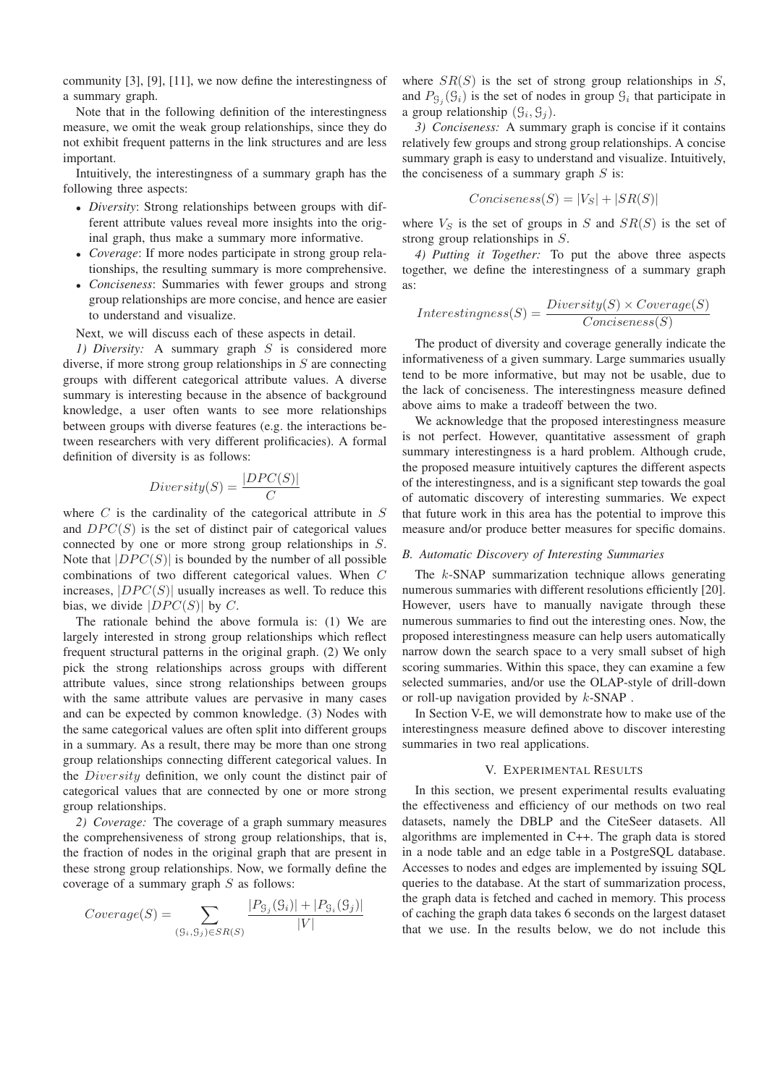community [3], [9], [11], we now define the interestingness of a summary graph.

Note that in the following definition of the interestingness measure, we omit the weak group relationships, since they do not exhibit frequent patterns in the link structures and are less important.

Intuitively, the interestingness of a summary graph has the following three aspects:

- *Diversity*: Strong relationships between groups with different attribute values reveal more insights into the original graph, thus make a summary more informative.
- *Coverage*: If more nodes participate in strong group relationships, the resulting summary is more comprehensive.
- *Conciseness*: Summaries with fewer groups and strong group relationships are more concise, and hence are easier to understand and visualize.

Next, we will discuss each of these aspects in detail.

*1) Diversity:* A summary graph S is considered more diverse, if more strong group relationships in  $S$  are connecting groups with different categorical attribute values. A diverse summary is interesting because in the absence of background knowledge, a user often wants to see more relationships between groups with diverse features (e.g. the interactions between researchers with very different prolificacies). A formal definition of diversity is as follows:

$$
Diversity(S) = \frac{|DPC(S)|}{C}
$$

where C is the cardinality of the categorical attribute in  $S$ <br>and  $DPC(S)$  is the set of distinct pair of categorical values and  $DPC(S)$  is the set of distinct pair of categorical values connected by one or more strong group relationships in S. Note that  $|DPC(S)|$  is bounded by the number of all possible combinations of two different categorical values. When C increases,  $|DPC(S)|$  usually increases as well. To reduce this bias, we divide  $|DPC(S)|$  by C.

The rationale behind the above formula is: (1) We are largely interested in strong group relationships which reflect frequent structural patterns in the original graph. (2) We only pick the strong relationships across groups with different attribute values, since strong relationships between groups with the same attribute values are pervasive in many cases and can be expected by common knowledge. (3) Nodes with the same categorical values are often split into different groups in a summary. As a result, there may be more than one strong group relationships connecting different categorical values. In the Diversity definition, we only count the distinct pair of categorical values that are connected by one or more strong group relationships.

*2) Coverage:* The coverage of a graph summary measures the comprehensiveness of strong group relationships, that is, the fraction of nodes in the original graph that are present in these strong group relationships. Now, we formally define the coverage of a summary graph  $S$  as follows:

$$
Coverage(S) = \sum_{(G_i, G_j) \in SR(S)} \frac{|P_{G_j}(G_i)| + |P_{G_i}(G_j)|}{|V|}
$$

where  $SR(S)$  is the set of strong group relationships in S, and  $P_{\mathcal{G}_i}(\mathcal{G}_i)$  is the set of nodes in group  $\mathcal{G}_i$  that participate in a group relationship  $(\mathcal{G}_i, \mathcal{G}_j)$ .

*3) Conciseness:* A summary graph is concise if it contains relatively few groups and strong group relationships. A concise summary graph is easy to understand and visualize. Intuitively, the conciseness of a summary graph  $S$  is:

$$
Conciseness(S) = |V_S| + |SR(S)|
$$

where  $V_S$  is the set of groups in S and  $SR(S)$  is the set of strong group relationships in S.

*4) Putting it Together:* To put the above three aspects together, we define the interestingness of a summary graph as:

$$
Interestingness(S) = \frac{Diversity(S) \times Coverage(S)}{Conciseness(S)}
$$

The product of diversity and coverage generally indicate the informativeness of a given summary. Large summaries usually tend to be more informative, but may not be usable, due to the lack of conciseness. The interestingness measure defined above aims to make a tradeoff between the two.

We acknowledge that the proposed interestingness measure is not perfect. However, quantitative assessment of graph summary interestingness is a hard problem. Although crude, the proposed measure intuitively captures the different aspects of the interestingness, and is a significant step towards the goal of automatic discovery of interesting summaries. We expect that future work in this area has the potential to improve this measure and/or produce better measures for specific domains.

# *B. Automatic Discovery of Interesting Summaries*

The k-SNAP summarization technique allows generating numerous summaries with different resolutions efficiently [20]. However, users have to manually navigate through these numerous summaries to find out the interesting ones. Now, the proposed interestingness measure can help users automatically narrow down the search space to a very small subset of high scoring summaries. Within this space, they can examine a few selected summaries, and/or use the OLAP-style of drill-down or roll-up navigation provided by k-SNAP .

In Section V-E, we will demonstrate how to make use of the interestingness measure defined above to discover interesting summaries in two real applications.

#### V. EXPERIMENTAL RESULTS

In this section, we present experimental results evaluating the effectiveness and efficiency of our methods on two real datasets, namely the DBLP and the CiteSeer datasets. All algorithms are implemented in C++. The graph data is stored in a node table and an edge table in a PostgreSQL database. Accesses to nodes and edges are implemented by issuing SQL queries to the database. At the start of summarization process, the graph data is fetched and cached in memory. This process of caching the graph data takes 6 seconds on the largest dataset that we use. In the results below, we do not include this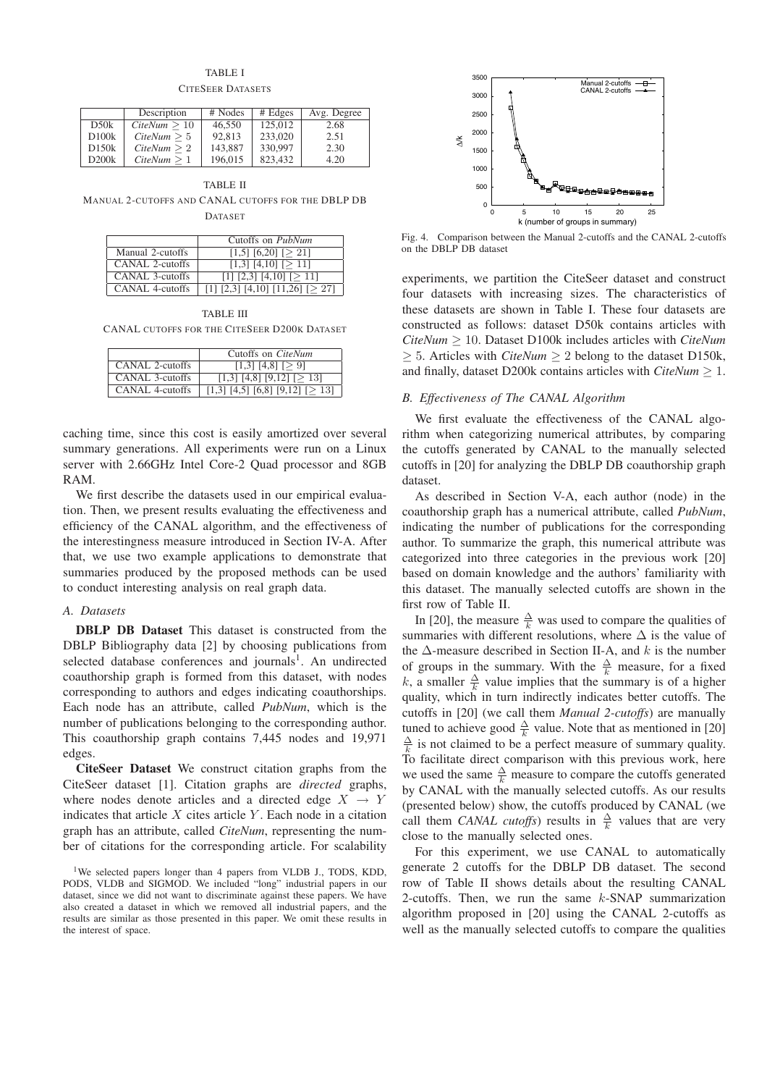#### TABLE I CITESEER DATASETS

|       | Description       | # Nodes | # Edges | Avg. Degree |
|-------|-------------------|---------|---------|-------------|
| D50k  | $CiteNum \geq 10$ | 46.550  | 125,012 | 2.68        |
| D100k | $CiteNum \geq 5$  | 92.813  | 233,020 | 2.51        |
| D150k | $CiteNum \geq 2$  | 143.887 | 330,997 | 2.30        |
| D200k | $CiteNum \geq 1$  | 196,015 | 823.432 | 4.20        |

TABLE II

MANUAL 2-CUTOFFS AND CANAL CUTOFFS FOR THE DBLP DB DATASET

|                  | Cutoffs on <i>PubNum</i>                                      |
|------------------|---------------------------------------------------------------|
| Manual 2-cutoffs | $\lceil 1, 5 \rceil$ $\lceil 6, 20 \rceil$ $\lceil 21 \rceil$ |
| CANAL 2-cutoffs  | $[1,3]$ $[4,10]$ $[2,11]$                                     |
| CANAL 3-cutoffs  | $[1]$ $[2,3]$ $[4,10]$ $[2,11]$                               |
| CANAL 4-cutoffs  | $[1]$ $[2,3]$ $[4,10]$ $[11,26]$ $[2,27]$                     |

TABLE III CANAL CUTOFFS FOR THE CITESEER D200K DATASET

|                 | Cutoffs on <i>CiteNum</i>                                                         |
|-----------------|-----------------------------------------------------------------------------------|
| CANAL 2-cutoffs | $[1,3]$ $[4,8]$ $[2,9]$                                                           |
| CANAL 3-cutoffs | $\lceil 1,3 \rceil$ $\lceil 4,8 \rceil$ $\lceil 9,12 \rceil$ $\lceil 2,13 \rceil$ |
| CANAL 4-cutoffs | $[1,3]$ [4,5] [6,8] [9,12] [ $\geq 13$ ]                                          |

caching time, since this cost is easily amortized over several summary generations. All experiments were run on a Linux server with 2.66GHz Intel Core-2 Quad processor and 8GB RAM.

We first describe the datasets used in our empirical evaluation. Then, we present results evaluating the effectiveness and efficiency of the CANAL algorithm, and the effectiveness of the interestingness measure introduced in Section IV-A. After that, we use two example applications to demonstrate that summaries produced by the proposed methods can be used to conduct interesting analysis on real graph data.

#### *A. Datasets*

**DBLP DB Dataset** This dataset is constructed from the DBLP Bibliography data [2] by choosing publications from selected database conferences and journals<sup>1</sup>. An undirected coauthorship graph is formed from this dataset, with nodes corresponding to authors and edges indicating coauthorships. Each node has an attribute, called *PubNum*, which is the number of publications belonging to the corresponding author. This coauthorship graph contains 7,445 nodes and 19,971 edges.

**CiteSeer Dataset** We construct citation graphs from the CiteSeer dataset [1]. Citation graphs are *directed* graphs, where nodes denote articles and a directed edge  $X \rightarrow Y$ indicates that article  $X$  cites article  $Y$ . Each node in a citation graph has an attribute, called *CiteNum*, representing the number of citations for the corresponding article. For scalability



Fig. 4. Comparison between the Manual 2-cutoffs and the CANAL 2-cutoffs on the DBLP DB dataset

experiments, we partition the CiteSeer dataset and construct four datasets with increasing sizes. The characteristics of these datasets are shown in Table I. These four datasets are constructed as follows: dataset D50k contains articles with *CiteNum* <sup>≥</sup> 10. Dataset D100k includes articles with *CiteNum*  $\geq$  5. Articles with *CiteNum*  $\geq$  2 belong to the dataset D150k, and finally, dataset D200k contains articles with  $CiteNum \geq 1$ .

### *B. Effectiveness of The CANAL Algorithm*

We first evaluate the effectiveness of the CANAL algorithm when categorizing numerical attributes, by comparing the cutoffs generated by CANAL to the manually selected cutoffs in [20] for analyzing the DBLP DB coauthorship graph dataset.

As described in Section V-A, each author (node) in the coauthorship graph has a numerical attribute, called *PubNum*, indicating the number of publications for the corresponding author. To summarize the graph, this numerical attribute was categorized into three categories in the previous work [20] based on domain knowledge and the authors' familiarity with this dataset. The manually selected cutoffs are shown in the first row of Table II.

In [20], the measure  $\frac{\Delta}{k}$  was used to compare the qualities of summaries with different resolutions, where  $\Delta$  is the value of the  $\Delta$ -measure described in Section II-A, and k is the number of groups in the summary. With the  $\frac{\Delta}{k}$  measure, for a fixed k, a smaller  $\frac{\Delta}{k}$  value implies that the summary is of a higher quality which in turn indirectly indicates better cutoffs. The quality, which in turn indirectly indicates better cutoffs. The cutoffs in [20] (we call them *Manual 2-cutoffs*) are manually tuned to achieve good  $\frac{\Delta}{k}$  value. Note that as mentioned in [20]  $\frac{\Delta}{k}$  is not claimed to be a perfect measure of summary quality. To facilitate direct comparison with this previous work, here we used the same  $\frac{\Delta}{k}$  measure to compare the cutoffs generated by CANAL with the manually selected cutoffs. As our results (presented below) show, the cutoffs produced by CANAL (we call them *CANAL cutoffs*) results in  $\frac{\Delta}{k}$  values that are very close to the manually selected ones.

For this experiment, we use CANAL to automatically generate 2 cutoffs for the DBLP DB dataset. The second row of Table II shows details about the resulting CANAL 2-cutoffs. Then, we run the same  $k$ -SNAP summarization algorithm proposed in [20] using the CANAL 2-cutoffs as well as the manually selected cutoffs to compare the qualities

<sup>&</sup>lt;sup>1</sup>We selected papers longer than 4 papers from VLDB J., TODS, KDD, PODS, VLDB and SIGMOD. We included "long" industrial papers in our dataset, since we did not want to discriminate against these papers. We have also created a dataset in which we removed all industrial papers, and the results are similar as those presented in this paper. We omit these results in the interest of space.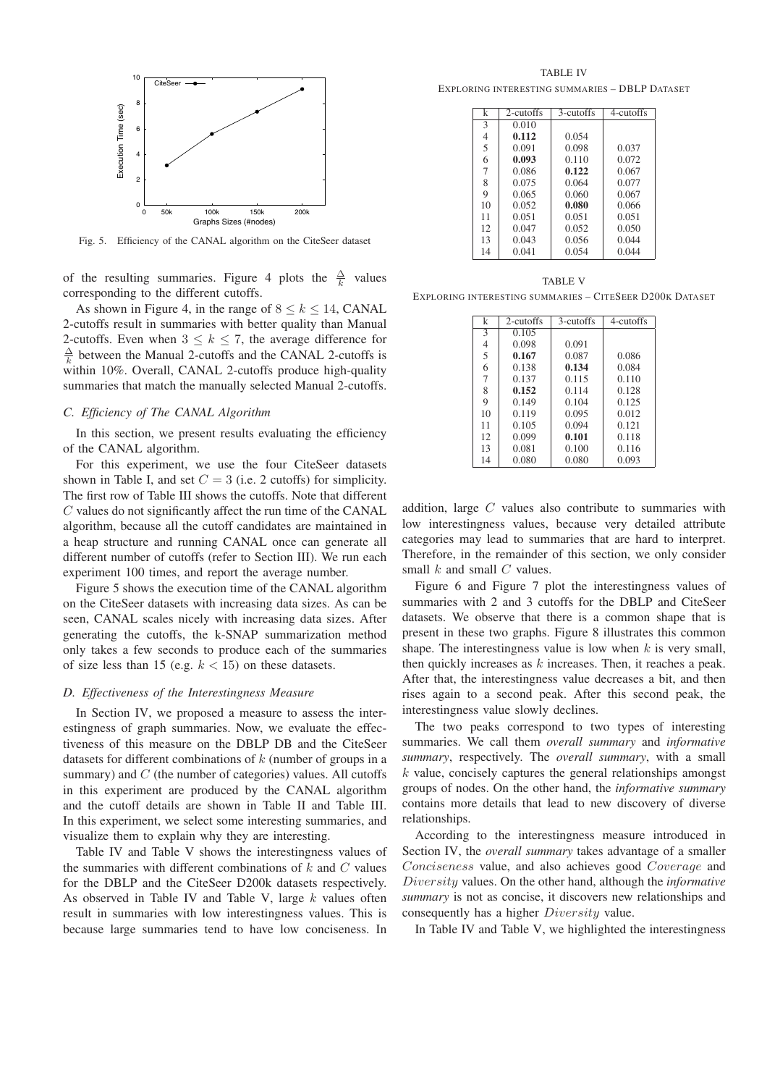

Fig. 5. Efficiency of the CANAL algorithm on the CiteSeer dataset

of the resulting summaries. Figure 4 plots the  $\frac{\Delta}{k}$  values corresponding to the different cutoffs.

As shown in Figure 4, in the range of  $8 \le k \le 14$ , CANAL 2-cutoffs result in summaries with better quality than Manual 2-cutoffs. Even when  $3 \leq k \leq 7$ , the average difference for  $\frac{\Delta}{k}$  between the Manual 2-cutoffs and the CANAL 2-cutoffs is within 10%. Overall, CANAL 2-cutoffs produce high-quality summaries that match the manually selected Manual 2-cutoffs.

#### *C. Efficiency of The CANAL Algorithm*

In this section, we present results evaluating the efficiency of the CANAL algorithm.

For this experiment, we use the four CiteSeer datasets shown in Table I, and set  $C = 3$  (i.e. 2 cutoffs) for simplicity. The first row of Table III shows the cutoffs. Note that different C values do not significantly affect the run time of the CANAL algorithm, because all the cutoff candidates are maintained in a heap structure and running CANAL once can generate all different number of cutoffs (refer to Section III). We run each experiment 100 times, and report the average number.

Figure 5 shows the execution time of the CANAL algorithm on the CiteSeer datasets with increasing data sizes. As can be seen, CANAL scales nicely with increasing data sizes. After generating the cutoffs, the k-SNAP summarization method only takes a few seconds to produce each of the summaries of size less than 15 (e.g.  $k < 15$ ) on these datasets.

#### *D. Effectiveness of the Interestingness Measure*

In Section IV, we proposed a measure to assess the interestingness of graph summaries. Now, we evaluate the effectiveness of this measure on the DBLP DB and the CiteSeer datasets for different combinations of  $k$  (number of groups in a summary) and  $C$  (the number of categories) values. All cutoffs in this experiment are produced by the CANAL algorithm and the cutoff details are shown in Table II and Table III. In this experiment, we select some interesting summaries, and visualize them to explain why they are interesting.

Table IV and Table V shows the interestingness values of the summaries with different combinations of  $k$  and  $C$  values for the DBLP and the CiteSeer D200k datasets respectively. As observed in Table IV and Table V, large  $k$  values often result in summaries with low interestingness values. This is because large summaries tend to have low conciseness. In

TABLE IV EXPLORING INTERESTING SUMMARIES – DBLP DATASET

| k   | 2-cutoffs | 3-cutoffs | 4-cutoffs |
|-----|-----------|-----------|-----------|
| 3   | 0.010     |           |           |
| 4   | 0.112     | 0.054     |           |
| 5   | 0.091     | 0.098     | 0.037     |
| 6   | 0.093     | 0.110     | 0.072     |
| 7   | 0.086     | 0.122     | 0.067     |
| 8   | 0.075     | 0.064     | 0.077     |
| 9   | 0.065     | 0.060     | 0.067     |
| 10  | 0.052     | 0.080     | 0.066     |
| 11  | 0.051     | 0.051     | 0.051     |
| 12. | 0.047     | 0.052     | 0.050     |
| 13  | 0.043     | 0.056     | 0.044     |
| 14  | 0.041     | 0.054     | 0.044     |

TABLE V EXPLORING INTERESTING SUMMARIES – CITESEER D200K DATASET

| k  | 2-cutoffs | 3-cutoffs | 4-cutoffs |
|----|-----------|-----------|-----------|
| 3  | 0.105     |           |           |
| 4  | 0.098     | 0.091     |           |
| 5  | 0.167     | 0.087     | 0.086     |
| 6  | 0.138     | 0.134     | 0.084     |
| 7  | 0.137     | 0.115     | 0.110     |
| 8  | 0.152     | 0.114     | 0.128     |
| 9  | 0.149     | 0.104     | 0.125     |
| 10 | 0.119     | 0.095     | 0.012     |
| 11 | 0.105     | 0.094     | 0.121     |
| 12 | 0.099     | 0.101     | 0.118     |
| 13 | 0.081     | 0.100     | 0.116     |
| 14 | 0.080     | 0.080     | 0.093     |

addition, large  $C$  values also contribute to summaries with low interestingness values, because very detailed attribute categories may lead to summaries that are hard to interpret. Therefore, in the remainder of this section, we only consider small  $k$  and small  $C$  values.

Figure 6 and Figure 7 plot the interestingness values of summaries with 2 and 3 cutoffs for the DBLP and CiteSeer datasets. We observe that there is a common shape that is present in these two graphs. Figure 8 illustrates this common shape. The interestingness value is low when  $k$  is very small, then quickly increases as  $k$  increases. Then, it reaches a peak. After that, the interestingness value decreases a bit, and then rises again to a second peak. After this second peak, the interestingness value slowly declines.

The two peaks correspond to two types of interesting summaries. We call them *overall summary* and *informative summary*, respectively. The *overall summary*, with a small  $k$  value, concisely captures the general relationships amongst groups of nodes. On the other hand, the *informative summary* contains more details that lead to new discovery of diverse relationships.

According to the interestingness measure introduced in Section IV, the *overall summary* takes advantage of a smaller Conciseness value, and also achieves good Coverage and Diversity values. On the other hand, although the *informative summary* is not as concise, it discovers new relationships and consequently has a higher Diversity value.

In Table IV and Table V, we highlighted the interestingness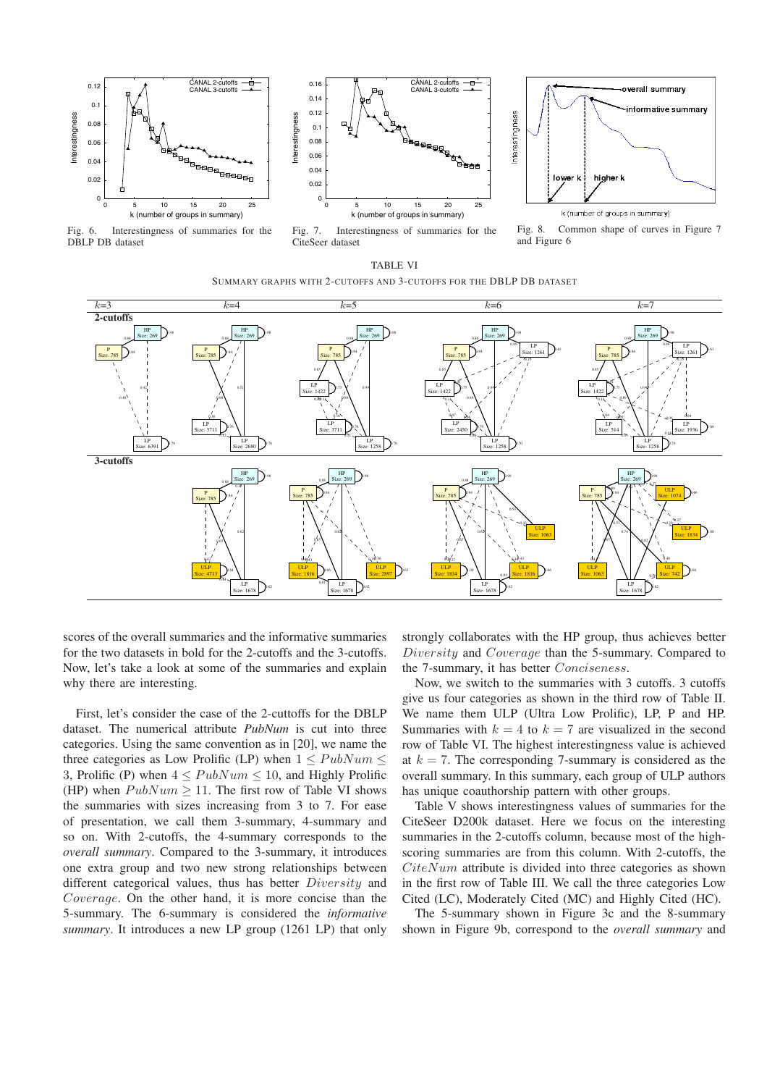

Fig. 6. Interestingness of summaries for the DBLP DB dataset

Fig. 7. Interestingness of summaries for the CiteSeer dataset

Fig. 8. Common shape of curves in Figure 7 and Figure 6





scores of the overall summaries and the informative summaries for the two datasets in bold for the 2-cutoffs and the 3-cutoffs. Now, let's take a look at some of the summaries and explain why there are interesting.

First, let's consider the case of the 2-cuttoffs for the DBLP dataset. The numerical attribute *PubNum* is cut into three categories. Using the same convention as in [20], we name the three categories as Low Prolific (LP) when  $1 \leq PubNum \leq$ 3, Prolific (P) when  $4 \leq PubNum \leq 10$ , and Highly Prolific (HP) when  $PubNum \geq 11$ . The first row of Table VI shows the summaries with sizes increasing from 3 to 7. For ease of presentation, we call them 3-summary, 4-summary and so on. With 2-cutoffs, the 4-summary corresponds to the *overall summary*. Compared to the 3-summary, it introduces one extra group and two new strong relationships between different categorical values, thus has better *Diversity* and Coverage. On the other hand, it is more concise than the 5-summary. The 6-summary is considered the *informative summary*. It introduces a new LP group (1261 LP) that only

strongly collaborates with the HP group, thus achieves better Diversity and Coverage than the 5-summary. Compared to the 7-summary, it has better Conciseness.

Now, we switch to the summaries with 3 cutoffs. 3 cutoffs give us four categories as shown in the third row of Table II. We name them ULP (Ultra Low Prolific), LP, P and HP. Summaries with  $k = 4$  to  $k = 7$  are visualized in the second row of Table VI. The highest interestingness value is achieved at  $k = 7$ . The corresponding 7-summary is considered as the overall summary. In this summary, each group of ULP authors has unique coauthorship pattern with other groups.

Table V shows interestingness values of summaries for the CiteSeer D200k dataset. Here we focus on the interesting summaries in the 2-cutoffs column, because most of the highscoring summaries are from this column. With 2-cutoffs, the  $CiteNum$  attribute is divided into three categories as shown in the first row of Table III. We call the three categories Low Cited (LC), Moderately Cited (MC) and Highly Cited (HC).

The 5-summary shown in Figure 3c and the 8-summary shown in Figure 9b, correspond to the *overall summary* and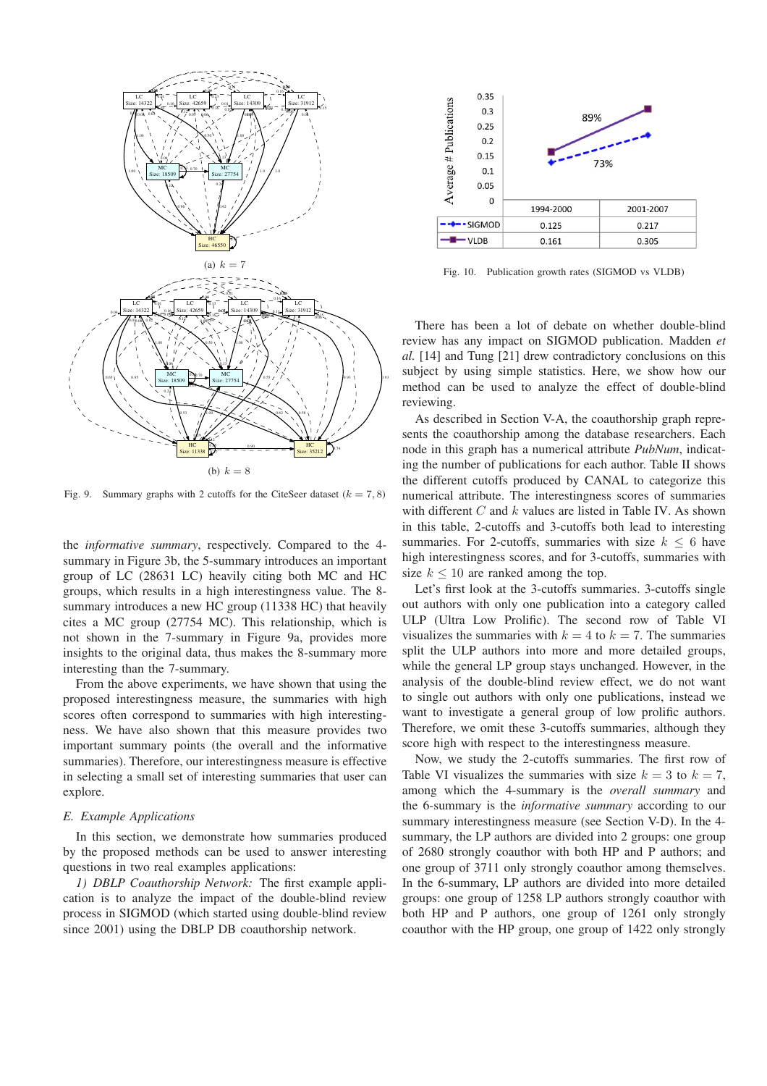

Fig. 9. Summary graphs with 2 cutoffs for the CiteSeer dataset  $(k = 7, 8)$ 

the *informative summary*, respectively. Compared to the 4 summary in Figure 3b, the 5-summary introduces an important group of LC (28631 LC) heavily citing both MC and HC groups, which results in a high interestingness value. The 8 summary introduces a new HC group (11338 HC) that heavily cites a MC group (27754 MC). This relationship, which is not shown in the 7-summary in Figure 9a, provides more insights to the original data, thus makes the 8-summary more interesting than the 7-summary.

From the above experiments, we have shown that using the proposed interestingness measure, the summaries with high scores often correspond to summaries with high interestingness. We have also shown that this measure provides two important summary points (the overall and the informative summaries). Therefore, our interestingness measure is effective in selecting a small set of interesting summaries that user can explore.

#### *E. Example Applications*

In this section, we demonstrate how summaries produced by the proposed methods can be used to answer interesting questions in two real examples applications:

*1) DBLP Coauthorship Network:* The first example application is to analyze the impact of the double-blind review process in SIGMOD (which started using double-blind review since 2001) using the DBLP DB coauthorship network.



Fig. 10. Publication growth rates (SIGMOD vs VLDB)

There has been a lot of debate on whether double-blind review has any impact on SIGMOD publication. Madden *et al.* [14] and Tung [21] drew contradictory conclusions on this subject by using simple statistics. Here, we show how our method can be used to analyze the effect of double-blind reviewing.

As described in Section V-A, the coauthorship graph represents the coauthorship among the database researchers. Each node in this graph has a numerical attribute *PubNum*, indicating the number of publications for each author. Table II shows the different cutoffs produced by CANAL to categorize this numerical attribute. The interestingness scores of summaries with different  $C$  and  $k$  values are listed in Table IV. As shown in this table, 2-cutoffs and 3-cutoffs both lead to interesting summaries. For 2-cutoffs, summaries with size  $k \leq 6$  have high interestingness scores, and for 3-cutoffs, summaries with size  $k \leq 10$  are ranked among the top.

Let's first look at the 3-cutoffs summaries. 3-cutoffs single out authors with only one publication into a category called ULP (Ultra Low Prolific). The second row of Table VI visualizes the summaries with  $k = 4$  to  $k = 7$ . The summaries split the ULP authors into more and more detailed groups, while the general LP group stays unchanged. However, in the analysis of the double-blind review effect, we do not want to single out authors with only one publications, instead we want to investigate a general group of low prolific authors. Therefore, we omit these 3-cutoffs summaries, although they score high with respect to the interestingness measure.

Now, we study the 2-cutoffs summaries. The first row of Table VI visualizes the summaries with size  $k = 3$  to  $k = 7$ , among which the 4-summary is the *overall summary* and the 6-summary is the *informative summary* according to our summary interestingness measure (see Section V-D). In the 4 summary, the LP authors are divided into 2 groups: one group of 2680 strongly coauthor with both HP and P authors; and one group of 3711 only strongly coauthor among themselves. In the 6-summary, LP authors are divided into more detailed groups: one group of 1258 LP authors strongly coauthor with both HP and P authors, one group of 1261 only strongly coauthor with the HP group, one group of 1422 only strongly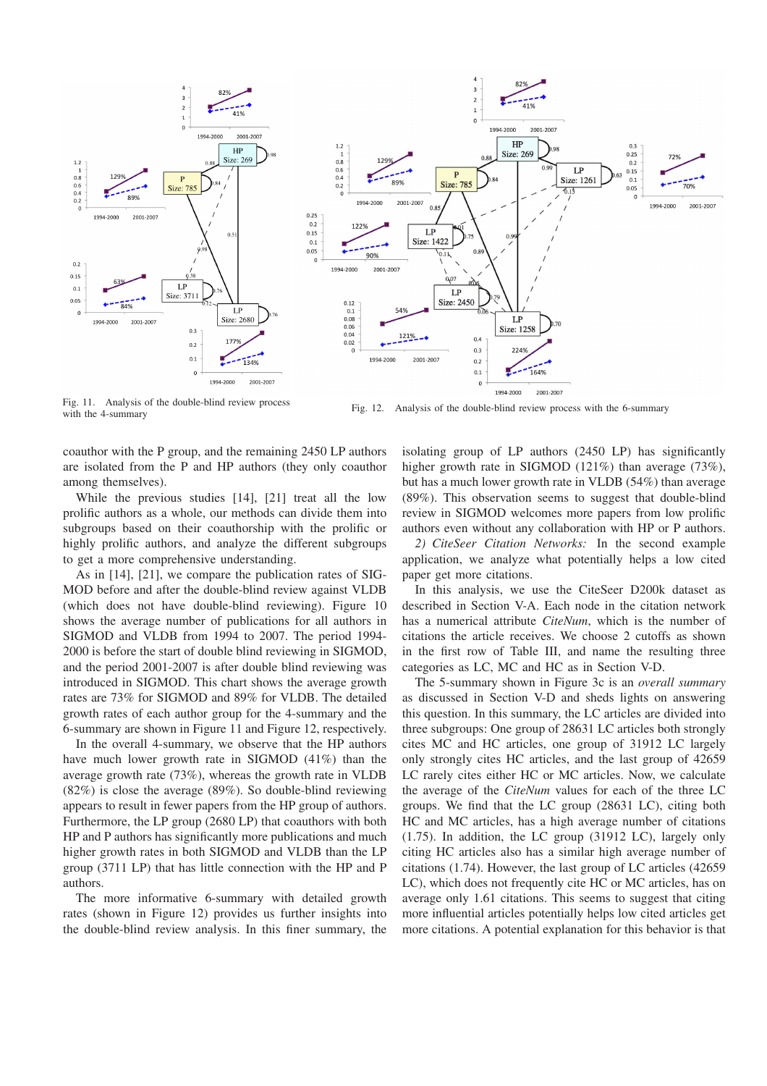

Fig. 11. Analysis of the double-blind review process Fig. 12. Analysis of the double-blind review process with the 6-summary with the 4-summary with the 4-summary

coauthor with the P group, and the remaining 2450 LP authors are isolated from the P and HP authors (they only coauthor among themselves).

While the previous studies [14], [21] treat all the low prolific authors as a whole, our methods can divide them into subgroups based on their coauthorship with the prolific or highly prolific authors, and analyze the different subgroups to get a more comprehensive understanding.

As in [14], [21], we compare the publication rates of SIG-MOD before and after the double-blind review against VLDB (which does not have double-blind reviewing). Figure 10 shows the average number of publications for all authors in SIGMOD and VLDB from 1994 to 2007. The period 1994- 2000 is before the start of double blind reviewing in SIGMOD, and the period 2001-2007 is after double blind reviewing was introduced in SIGMOD. This chart shows the average growth rates are 73% for SIGMOD and 89% for VLDB. The detailed growth rates of each author group for the 4-summary and the 6-summary are shown in Figure 11 and Figure 12, respectively.

In the overall 4-summary, we observe that the HP authors have much lower growth rate in SIGMOD (41%) than the average growth rate (73%), whereas the growth rate in VLDB (82%) is close the average (89%). So double-blind reviewing appears to result in fewer papers from the HP group of authors. Furthermore, the LP group (2680 LP) that coauthors with both HP and P authors has significantly more publications and much higher growth rates in both SIGMOD and VLDB than the LP group (3711 LP) that has little connection with the HP and P authors.

The more informative 6-summary with detailed growth rates (shown in Figure 12) provides us further insights into the double-blind review analysis. In this finer summary, the

isolating group of LP authors (2450 LP) has significantly higher growth rate in SIGMOD (121%) than average (73%), but has a much lower growth rate in VLDB (54%) than average (89%). This observation seems to suggest that double-blind review in SIGMOD welcomes more papers from low prolific authors even without any collaboration with HP or P authors.

*2) CiteSeer Citation Networks:* In the second example application, we analyze what potentially helps a low cited paper get more citations.

In this analysis, we use the CiteSeer D200k dataset as described in Section V-A. Each node in the citation network has a numerical attribute *CiteNum*, which is the number of citations the article receives. We choose 2 cutoffs as shown in the first row of Table III, and name the resulting three categories as LC, MC and HC as in Section V-D.

The 5-summary shown in Figure 3c is an *overall summary* as discussed in Section V-D and sheds lights on answering this question. In this summary, the LC articles are divided into three subgroups: One group of 28631 LC articles both strongly cites MC and HC articles, one group of 31912 LC largely only strongly cites HC articles, and the last group of 42659 LC rarely cites either HC or MC articles. Now, we calculate the average of the *CiteNum* values for each of the three LC groups. We find that the LC group (28631 LC), citing both HC and MC articles, has a high average number of citations (1.75). In addition, the LC group (31912 LC), largely only citing HC articles also has a similar high average number of citations (1.74). However, the last group of LC articles (42659 LC), which does not frequently cite HC or MC articles, has on average only 1.61 citations. This seems to suggest that citing more influential articles potentially helps low cited articles get more citations. A potential explanation for this behavior is that